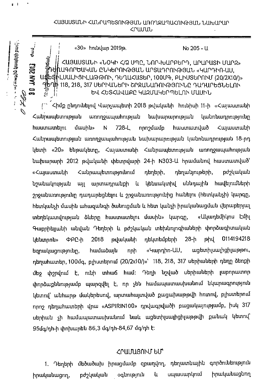## «30» hnưu | 2019 p. (1948).

## CUBUUSUlTh «LOtiln C/Q UMB, tnr-ruurpbrri-, UPUPUSh U-UP2» .<br>ԽագործևԿԱՆ ԸՆԿԵՐՈՒԹՅԱՆ ԱՐՏԱԴՐՈՒԹՅԱՆ «ԿԱՐԴԻՈ-ԱՍ, .ՍԱԼԻՑԻԼԱԹԹՈՒ, ԴԵՂԱՀԱՏԵՐ, 100ՄԳ, ԲԼԻՍՏԵՐՈՒՄ (20/2X10/)» 电空 Ղ\ 118, 218, 317 ՍԵՐԻԱՆԵՐԻ ՇՐՋԱՆԱՌՈՒԹՅՈՒՆԸ ԴԱԴԱՐԵՅՆԵԼՈՒ ԵՎ ՀԵՏՀԱՎԱՔԸ ԿԱԶՄԱԿԵՐՊԵԼՈՒ ՄԱՍԻՆ

311 JAN 2014 **du'** 

**102 NYT 08** 

 $duu$ 

 $r - 1$ 

 $\mathbb{E}_{\mathbb{P}^{\text{unif}}_{\mathbb{P}^{\text{unif}}_{\mathbb{P}^{\text{unif}}_{\mathbb{P}^{\text{unif}}_{\mathbb{P}^{\text{unif}}_{\mathbb{P}^{\text{unif}}_{\mathbb{P}^{\text{unif}}_{\mathbb{P}^{\text{unif}}_{\mathbb{P}^{\text{unif}}_{\mathbb{P}^{\text{unif}}_{\mathbb{P}^{\text{unif}}_{\mathbb{P}^{\text{unif}}_{\mathbb{P}^{\text{unif}}_{\mathbb{P}^{\text{unif}}_{\mathbb{P}^{\text{unif}}_{\mathbb$ 

 $\epsilon$ իմք ընդունելով Վարչապետի 2018 թվականի հունիսի 11-ի «Հայաստանի Հանրապետության առողջապահության նախարարության կանոնադրությունը hաստատելու մասին» N 728-L որոշմամբ հաստատված Հայաստանի Հանրապետության առողջապահության նախարարության կանոնադրության 18-րդ կետի «20» ենթակետը, Հայաստանի Հանրապետության առողջապահության նախարարի 2012 թվականի փետրվարի 24-ի N303-U hրամանով հաստատված՝ «Հայաստանի Հանրապետությունում դեղերի, դեղանյութերի, բժշկական նշանակության այլ արտադրանքի և կենսակտիվ սննդային հավելումների շրջանառությունը դադարեցնելու և շրջանառությունից հանելու (հետկանչի) կարգը, hետկանչի մասին ահազանգի ծանուցման և հետ կանչի իրականացման վերաբերյալ տեղեկատվության ձևերը հաստատելու մասին» կարգը, «Ակադեմիկոս էմիլ Գաբրիելյանի անվան Դեղերի և բժշկական տեխնոլոգիաների փորձագիտական կենտրոն» ՓԲԸ-ի 2018 թվականի դեկտեմբերի 28-ի թիվ 0114194218 եզրակացությունը, համաձայն որի «Կարդիո-ԱՍ, ացետիլսալիցիլաթթու, դեղահատեր, 100մգ, բլիստերում (20/2x10/)»՝ 118, 218, 317 սերիաների դեղը ձեռքի մեջ փշրվում է, ունի տհաճ համ։ Դեղի նշված սերիաների լաբորատոր փորձաքննությամբ պարզվել է, որ չեն համապատասխանում նկարագրություն կետով՝ անհարթ մակերեսով, արտահայտված քացախաթթվի հոտով, բլիստերում npnշ դեղահատերի վրա «ASPIRIN100» դրվագրվածի բացակայությամբ, իսկ 317 uերիան չի համապատասխանում նաև ացետիլսալիցիլաթթվի քանակ կետով՝ 95մգ/դի-ի փոխարեն 86,3 մգ/դի-84,67 մգ/դի է:

## CP U151.1.8n hu. blr

1. Դեղերի մեծածախ իրացմամբ զբաղվող, դեղատնային գործունեություն իրականացող, բժշկական օգնություն և սպասարկում իրականացնող